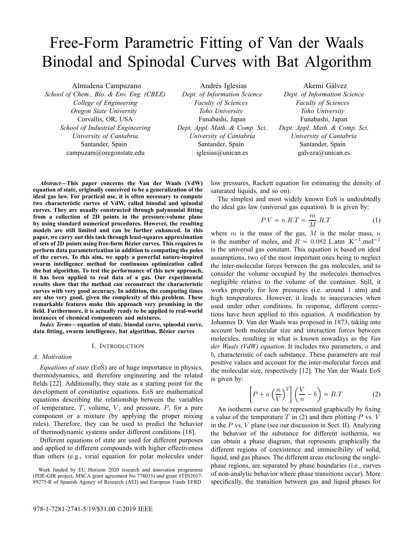# Free-Form Parametric Fitting of Van der Waals Binodal and Spinodal Curves with Bat Algorithm

Almudena Campuzano

*School of Chem., Bio. & Env. Eng. (CBEE) College of Engineering Oregon State University* Corvallis, OR, USA *School of Industrial Engineering University of Cantabria* Santander, Spain campuzam@oregonstate.edu

Andrés Iglesias *Dept. of Information Science Faculty of Sciences Toho University* Funabashi, Japan *Dept. Appl. Math. & Comp. Sci. University of Cantabria* Santander, Spain iglesias@unican.es

Akemi Gálvez *Dept. of Information Science Faculty of Sciences Toho University* Funabashi, Japan *Dept. Appl. Math. & Comp. Sci. University of Cantabria* Santander, Spain galveza@unican.es

*Abstract***—This paper concerns the Van der Waals (VdW) equation of state, originally conceived to be a generalization of the ideal gas law. For practical use, it is often necessary to compute two characteristic curves of VdW, called binodal and spinodal curves. They are usually constructed through polynomial fitting from a collection of 2D points in the pressure-volume plane by using standard numerical procedures. However, the resulting models are still limited and can be further enhanced. In this paper, we carry out this task through least-squares approximation of sets of 2D points using free-form Bezier curves. This requires to ´ perform data parameterization in addition to computing the poles of the curves. To this aim, we apply a powerful nature-inspired swarm intelligence method for continuous optimization called the bat algorithm. To test the performance of this new approach, it has been applied to real data of a gas. Our experimental results show that the method can reconstruct the characteristic curves with very good accuracy. In addition, the computing times are also very good, given the complexity of this problem. These remarkable features make this approach very promising in the field. Furthermore, it is actually ready to be applied to real-world instances of chemical components and mixtures.**

*Index Terms***—equation of state, binodal curve, spinodal curve, data fitting, swarm intelligence, bat algorithm, Bezier curves ´**

#### I. INTRODUCTION

## *A. Motivation*

*Equations of state* (EoS) are of huge importance in physics, thermodynamics, and therefore engineering and the related fields [22]. Additionally, they state as a starting point for the development of constitutive equations. EoS are mathematical equations describing the relationship between the variables of temperature,  $T$ , volume,  $V$ , and pressure,  $P$ , for a pure component or a mixture (by applying the proper mixing rules). Therefore, they can be used to predict the behavior of thermodynamic systems under different conditions [18].

Different equations of state are used for different purposes and applied to different compounds with higher effectiveness than others (e.g., virial equation for polar molecules under low pressures, Rackett equation for estimating the density of saturated liquids, and so on).

The simplest and most widely known EoS is undoubtedly the ideal gas law (universal gas equation). It is given by:

$$
P.V = n.R.T = \frac{m}{M}.R.T
$$
 (1)

where  $m$  is the mass of the gas,  $M$  is the molar mass,  $n$ is the number of moles, and  $R = 0.082$  L.atm .K<sup>-1</sup>.mol<sup>-1</sup> is the universal gas constant. This equation is based on ideal assumptions, two of the most important ones being to neglect the inter-molecular forces between the gas molecules, and to consider the volume occupied by the molecules themselves negligible relative to the volume of the container. Still, it works properly for low pressures (i.e. around 1 atm) and high temperatures. However, it leads to inaccuracies when used under other conditions. In response, different corrections have been applied to this equation. A modification by Johannes D. Van der Waals was proposed in 1873, taking into account both molecular size and interaction forces between molecules, resulting in what is known nowadays as the *Van der Waals (VdW) equation*. It includes two parameters, a and b, characteristic of each substance. These parameters are real positive values and account for the inter-molecular forces and the molecular size, respectively [12]. The Van der Waals EoS is given by:

$$
\left[P + a\left(\frac{n}{V}\right)^2\right] \left(\frac{V}{n} - b\right) = R.T \tag{2}
$$

An isotherm curve can be represented graphically by fixing a value of the temperature  $T$  in (2) and then plotting  $P$  vs.  $V$ in the  $P$  vs.  $V$  plane (see our discussion in Sect. II). Analyzing the behavior of the substance for different isotherms, we can obtain a phase diagram, that represents graphically the different regions of coexistence and immiscibility of solid, liquid, and gas phases. The different areas enclosing the singlephase regions, are separated by phase boundaries (i.e., curves of non-analytic behavior where phase transitions occur). More specifically, the transition between gas and liquid phases for

Work funded by EU Horizon 2020 research and innovation programme (PDE-GIR project, MSCA grant agreement No 778035) and grant #TIN2017- 89275-R of Spanish Agency of Research (AEI) and European Funds EFRD.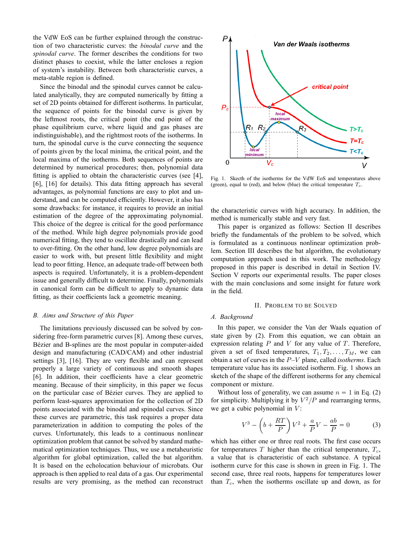the VdW EoS can be further explained through the construction of two characteristic curves: the *binodal curve* and the *spinodal curve*. The former describes the conditions for two distinct phases to coexist, while the latter encloses a region of system's instability. Between both characteristic curves, a meta-stable region is defined.

Since the binodal and the spinodal curves cannot be calculated analytically, they are computed numerically by fitting a set of 2D points obtained for different isotherms. In particular, the sequence of points for the binodal curve is given by the leftmost roots, the critical point (the end point of the phase equilibrium curve, where liquid and gas phases are indistinguishable), and the rightmost roots of the isotherms. In turn, the spinodal curve is the curve connecting the sequence of points given by the local minima, the critical point, and the local maxima of the isotherms. Both sequences of points are determined by numerical procedures; then, polynomial data fitting is applied to obtain the characteristic curves (see [4], [6], [16] for details). This data fitting approach has several advantages, as polynomial functions are easy to plot and understand, and can be computed efficiently. However, it also has some drawbacks: for instance, it requires to provide an initial estimation of the degree of the approximating polynomial. This choice of the degree is critical for the good performance of the method. While high degree polynomials provide good numerical fitting, they tend to oscillate drastically and can lead to over-fitting. On the other hand, low degree polynomials are easier to work with, but present little flexibility and might lead to poor fitting. Hence, an adequate trade-off between both aspects is required. Unfortunately, it is a problem-dependent issue and generally difficult to determine. Finally, polynomials in canonical form can be difficult to apply to dynamic data fitting, as their coefficients lack a geometric meaning.

#### *B. Aims and Structure of this Paper*

The limitations previously discussed can be solved by considering free-form parametric curves [8]. Among these curves, Bézier and B-splines are the most popular in computer-aided design and manufacturing (CAD/CAM) and other industrial settings [3], [16]. They are very flexible and can represent properly a large variety of continuous and smooth shapes [6]. In addition, their coefficients have a clear geometric meaning. Because of their simplicity, in this paper we focus on the particular case of Bézier curves. They are applied to perform least-squares approximation for the collection of 2D points associated with the binodal and spinodal curves. Since these curves are parametric, this task requires a proper data parameterization in addition to computing the poles of the curves. Unfortunately, this leads to a continuous nonlinear optimization problem that cannot be solved by standard mathematical optimization techniques. Thus, we use a metaheuristic algorithm for global optimization, called the bat algorithm. It is based on the echolocation behaviour of microbats. Our approach is then applied to real data of a gas. Our experimental results are very promising, as the method can reconstruct



Fig. 1. Skecth of the isotherms for the VdW EoS and temperatures above (green), equal to (red), and below (blue) the critical temperature  $T_c$ .

the characteristic curves with high accuracy. In addition, the method is numerically stable and very fast.

This paper is organized as follows: Section II describes briefly the fundamentals of the problem to be solved, which is formulated as a continuous nonlinear optimization problem. Section III describes the bat algorithm, the evolutionary computation approach used in this work. The methodology proposed in this paper is described in detail in Section IV. Section V reports our experimental results. The paper closes with the main conclusions and some insight for future work in the field.

#### II. PROBLEM TO BE SOLVED

# *A. Background*

In this paper, we consider the Van der Waals equation of state given by (2). From this equation, we can obtain an expression relating  $P$  and  $V$  for any value of  $T$ . Therefore, given a set of fixed temperatures,  $T_1, T_2, \ldots, T_M$ , we can obtain a set of curves in the P–V plane, called *isotherms*. Each temperature value has its associated isotherm. Fig. 1 shows an sketch of the shape of the different isotherms for any chemical component or mixture.

Without loss of generality, we can assume  $n = 1$  in Eq. (2) for simplicity. Multiplying it by  $V^2/P$  and rearranging terms, we get a cubic polynomial in  $V$ :

$$
V^3 - \left(b + \frac{RT}{P}\right)V^2 + \frac{a}{P}V - \frac{ab}{P} = 0\tag{3}
$$

which has either one or three real roots. The first case occurs for temperatures  $T$  higher than the critical temperature,  $T_c$ , a value that is characteristic of each substance. A typical isotherm curve for this case is shown in green in Fig. 1. The second case, three real roots, happens for temperatures lower than  $T_c$ , when the isotherms oscillate up and down, as for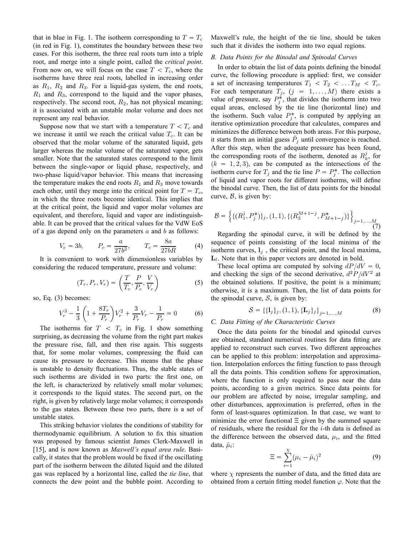that in blue in Fig. 1. The isotherm corresponding to  $T = T_c$ (in red in Fig. 1), constitutes the boundary between these two cases. For this isotherm, the three real roots turn into a triple root, and merge into a single point, called the *critical point*. From now on, we will focus on the case  $T < T_c$ , where the isotherms have three real roots, labelled in increasing order as  $R_1$ ,  $R_2$  and  $R_3$ . For a liquid-gas system, the end roots,  $R_1$  and  $R_3$ , correspond to the liquid and the vapor phases, respectively. The second root,  $R_2$ , has not physical meaning; it is associated with an unstable molar volume and does not represent any real behavior.

Suppose now that we start with a temperature  $T < T_c$  and we increase it until we reach the critical value  $T_c$ . It can be observed that the molar volume of the saturated liquid, gets larger whereas the molar volume of the saturated vapor, gets smaller. Note that the saturated states correspond to the limit between the single-vapor or liquid phase, respectively, and two-phase liquid/vapor behavior. This means that increasing the temperature makes the end roots  $R_1$  and  $R_3$  move towards each other, until they merge into the critical point for  $T = T_c$ , in which the three roots become identical. This implies that at the critical point, the liquid and vapor molar volumes are equivalent, and therefore, liquid and vapor are indistinguishable. It can be proved that the critical values for the VdW EoS of a gas depend only on the parameters  $a$  and  $b$  as follows:

$$
V_c = 3b,
$$
  $P_c = \frac{a}{27b^2},$   $T_c = \frac{8a}{27bR}$  (4)

It is convenient to work with dimensionless variables by considering the reduced temperature, pressure and volume:

$$
(T_r, P_r, V_r) = \left(\frac{T}{T_c}, \frac{P}{P_c}, \frac{V}{V_c}\right)
$$
 (5)

so, Eq. (3) becomes:

$$
V_r^3 - \frac{1}{3} \left( 1 + \frac{8T_r}{P_r} \right) V_r^2 + \frac{3}{P_r} V_r - \frac{1}{P_r} = 0 \tag{6}
$$

The isotherms for  $T < T_c$  in Fig. 1 show something surprising, as decreasing the volume from the right part makes the pressure rise, fall, and then rise again. This suggests that, for some molar volumes, compressing the fluid can cause its pressure to decrease. This means that the phase is unstable to density fluctuations. Thus, the stable states of such isotherms are divided in two parts: the first one, on the left, is characterized by relatively small molar volumes; it corresponds to the liquid states. The second part, on the right, is given by relatively large molar volumes; it corresponds to the gas states. Between these two parts, there is a set of unstable states.

This striking behavior violates the conditions of stability for thermodynamic equilibrium. A solution to fix this situation was proposed by famous scientist James Clerk-Maxwell in [15], and is now known as *Maxwell's equal area rule*. Basically, it states that the problem would be fixed if the oscillating part of the isotherm between the diluted liquid and the diluted gas was replaced by a horizontal line, called the *tie line*, that connects the dew point and the bubble point. According to Maxwell's rule, the height of the tie line, should be taken such that it divides the isotherm into two equal regions.

## *B. Data Points for the Binodal and Spinodal Curves*

In order to obtain the list of data points defining the binodal curve, the following procedure is applied: first, we consider a set of increasing temperatures  $T_1 < T_2 < \dots T_M < T_c$ . For each temperature  $T_j$ ,  $(j = 1, ..., M)$  there exists a value of pressure, say  $P_j^*$ , that divides the isotherm into two equal areas, enclosed by the tie line (horizontal line) and the isotherm. Such value  $P_j^*$ , is computed by applying an iterative optimization procedure that calculates, compares and minimizes the difference between both areas. For this purpose, it starts from an initial guess  $\tilde{P}_j$  until convergence is reached. After this step, when the adequate pressure has been found, the corresponding roots of the isotherm, denoted as  $R_k^j$ , for  $(k = 1, 2, 3)$ , can be computed as the intersections of the isotherm curve for  $T_j$  and the tie line  $P = P_j^*$ . The collection of liquid and vapor roots for different isotherms, will define the binodal curve. Then, the list of data points for the binodal curve,  $\beta$ , is given by:

$$
\mathcal{B} = \left\{ \{ (R_1^j, P_j^*) \}_j, (1, 1), \{ (R_3^{M+1-j}, P_{M+1-j}^*) \} \right\}_{j=1,\ldots,M}
$$
\n(7)

Regarding the spinodal curve, it will be defined by the sequence of points consisting of the local minima of the isotherm curves,  $l_i$ , the critical point, and the local maxima,  $L_l$ . Note that in this paper vectors are denoted in bold.

These local optima are computed by solving  $dP/dV = 0$ , and checking the sign of the second derivative,  $d^2P/dV^2$  at the obtained solutions. If positive, the point is a minimum; otherwise, it is a maximum. Then, the list of data points for the spinodal curve,  $S$ , is given by:

$$
S = \{\{1_j\}_j, (1, 1), \{L_j\}_j\}_{j=1,...,M}
$$
 (8)

## *C. Data Fitting of the Characteristic Curves*

Once the data points for the binodal and spinodal curves are obtained, standard numerical routines for data fitting are applied to reconstruct such curves. Two different approaches can be applied to this problem: interpolation and approximation. Interpolation enforces the fitting function to pass through all the data points. This condition softens for approximation, where the function is only required to pass near the data points, according to a given metrics. Since data points for our problem are affected by noise, irregular sampling, and other disturbances, approximation is preferred, often in the form of least-squares optimization. In that case, we want to minimize the error functional  $\Xi$  given by the summed square of residuals, where the residual for the  $i$ -th data is defined as the difference between the observed data,  $\mu_i$ , and the fitted data,  $\hat{\mu}_i$ :

$$
\Xi = \sum_{i=1}^{X} (\mu_i - \hat{\mu}_i)^2
$$
\n(9)

where  $\chi$  represents the number of data, and the fitted data are obtained from a certain fitting model function  $\varphi$ . Note that the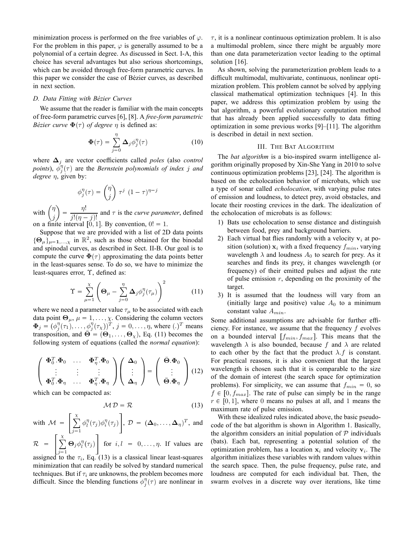minimization process is performed on the free variables of  $\varphi$ . For the problem in this paper,  $\varphi$  is generally assumed to be a polynomial of a certain degree. As discussed in Sect. I-A, this choice has several advantages but also serious shortcomings, which can be avoided through free-form parametric curves. In this paper we consider the case of Bézier curves, as described in next section.

## *D. Data Fitting with Bezier Curves ´*

 $\sim$ 

We assume that the reader is familiar with the main concepts of free-form parametric curves [6], [8]. A *free-form parametric Bézier curve*  $\Phi(\tau)$  *of degree*  $\eta$  is defined as:

$$
\Phi(\tau) = \sum_{j=0}^{\eta} \Delta_j \phi_j^{\eta}(\tau)
$$
 (10)

where ∆<sup>j</sup> are vector coefficients called *poles* (also *control points*),  $\phi_j^{\eta}(\tau)$  are the *Bernstein polynomials of index j and degree* η, given by:

$$
\phi_j^{\eta}(\tau) = \binom{\eta}{j} \ \tau^j \ (1-\tau)^{\eta-j}
$$

with  $\int_{0}^{\eta}$ j  $=\frac{\eta!}{\eta!}$  $\frac{\partial}{\partial j!(\eta-j)!}$  and  $\tau$  is the *curve parameter*, defined on a finite interval  $\begin{bmatrix} 0 \\ 1 \end{bmatrix}$ . By convention,  $0! = 1$ .

Suppose that we are provided with a list of 2D data points  ${\{\Theta_{\mu}\}}_{\mu=1,...,\chi}$  in  $\mathbb{R}^2$ , such as those obtained for the binodal

and spinodal curves, as described in Sect. II-B. Our goal is to compute the curve  $\Phi(\tau)$  approximating the data points better in the least-squares sense. To do so, we have to minimize the least-squares error, Υ, defined as:

$$
\Upsilon = \sum_{\mu=1}^{\chi} \left( \mathbf{\Theta}_{\mu} - \sum_{j=0}^{\eta} \mathbf{\Delta}_{j} \phi_{j}^{\eta}(\tau_{\mu}) \right)^{2} \tag{11}
$$

where we need a parameter value  $\tau_{\mu}$  to be associated with each data point  $\Theta_{\mu}$ ,  $\mu = 1, \dots, \chi$ . Considering the column vectors  $\Phi_j = (\phi_j^{\eta}(\tau_1), \dots, \phi_j^{\eta}(\tau_\chi))^T, j = 0, \dots, \eta$ , where  $(.)^T$  means transposition, and  $\bar{\Theta} = (\Theta_1, \dots, \Theta_{\chi})$ , Eq. (11) becomes the following system of equations (called the *normal equation*):

$$
\begin{pmatrix}\n\boldsymbol{\Phi}_0^T \cdot \boldsymbol{\Phi}_0 & \cdots & \boldsymbol{\Phi}_\eta^T \cdot \boldsymbol{\Phi}_0 \\
\vdots & \vdots & \vdots \\
\boldsymbol{\Phi}_0^T \cdot \boldsymbol{\Phi}_\eta & \cdots & \boldsymbol{\Phi}_\eta^T \cdot \boldsymbol{\Phi}_\eta\n\end{pmatrix}\n\begin{pmatrix}\n\boldsymbol{\Delta}_0 \\
\vdots \\
\boldsymbol{\Delta}_\eta\n\end{pmatrix} = \begin{pmatrix}\n\bar{\boldsymbol{\Theta}} \cdot \boldsymbol{\Phi}_0 \\
\vdots \\
\bar{\boldsymbol{\Theta}} \cdot \boldsymbol{\Phi}_\eta\n\end{pmatrix}
$$
(12)

which can be compacted as:

$$
M \mathcal{D} = \mathcal{R} \tag{13}
$$

with  $\mathcal{M} =$  $\lceil x \rceil$  $j=1$  $\phi_l^{\eta}(\tau_j)\phi_i^{\eta}(\tau_j)$  $\left[ \rho, \mathcal{D} = (\Delta_0, \ldots, \Delta_{\eta})^T \right]$ , and  $\lceil x \rceil$ 

$$
\mathcal{R} = \left[ \sum_{j=1}^{n} \Theta_j \phi_l^{\eta}(\tau_j) \right] \text{ for } i, l = 0, \dots, \eta.
$$
 If values are

assigned to the  $\tau_i$ , Eq. (13) is a classical linear least-squares minimization that can readily be solved by standard numerical techniques. But if  $\tau_i$  are unknowns, the problem becomes more difficult. Since the blending functions  $\phi_j^{\eta}(\tau)$  are nonlinear in  $\tau$ , it is a nonlinear continuous optimization problem. It is also a multimodal problem, since there might be arguably more than one data parameterization vector leading to the optimal solution [16].

As shown, solving the parameterization problem leads to a difficult multimodal, multivariate, continuous, nonlinear optimization problem. This problem cannot be solved by applying classical mathematical optimization techniques [4]. In this paper, we address this optimization problem by using the bat algorithm, a powerful evolutionary computation method that has already been applied successfully to data fitting optimization in some previous works [9]–[11]. The algorithm is described in detail in next section.

## III. THE BAT ALGORITHM

The *bat algorithm* is a bio-inspired swarm intelligence algorithm originally proposed by Xin-She Yang in 2010 to solve continuous optimization problems [23], [24]. The algorithm is based on the echolocation behavior of microbats, which use a type of sonar called *echolocation*, with varying pulse rates of emission and loudness, to detect prey, avoid obstacles, and locate their roosting crevices in the dark. The idealization of the echolocation of microbats is as follows:

- 1) Bats use echolocation to sense distance and distinguish between food, prey and background barriers.
- 2) Each virtual bat flies randomly with a velocity  $v_i$  at position (solution)  $x_i$  with a fixed frequency  $f_{min}$ , varying wavelength  $\lambda$  and loudness  $A_0$  to search for prey. As it searches and finds its prey, it changes wavelength (or frequency) of their emitted pulses and adjust the rate of pulse emission  $r$ , depending on the proximity of the target.
- 3) It is assumed that the loudness will vary from an (initially large and positive) value  $A_0$  to a minimum constant value  $A_{min}$ .

Some additional assumptions are advisable for further efficiency. For instance, we assume that the frequency  $f$  evolves on a bounded interval  $[f_{min}, f_{max}]$ . This means that the wavelength  $\lambda$  is also bounded, because f and  $\lambda$  are related to each other by the fact that the product  $\lambda$ . f is constant. For practical reasons, it is also convenient that the largest wavelength is chosen such that it is comparable to the size of the domain of interest (the search space for optimization problems). For simplicity, we can assume that  $f_{min} = 0$ , so  $f \in [0, f_{max}]$ . The rate of pulse can simply be in the range  $r \in [0, 1]$ , where 0 means no pulses at all, and 1 means the maximum rate of pulse emission.

With these idealized rules indicated above, the basic pseudocode of the bat algorithm is shown in Algorithm 1. Basically, the algorithm considers an initial population of  $P$  individuals (bats). Each bat, representing a potential solution of the optimization problem, has a location  $x_i$  and velocity  $v_i$ . The algorithm initializes these variables with random values within the search space. Then, the pulse frequency, pulse rate, and loudness are computed for each individual bat. Then, the swarm evolves in a discrete way over iterations, like time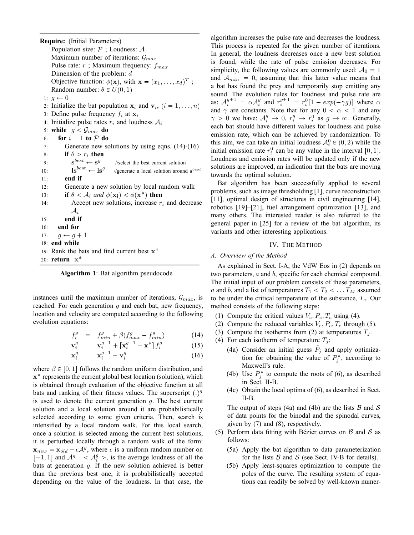**Require:** (Initial Parameters) Population size:  $P$ ; Loudness: A Maximum number of iterations:  $\mathcal{G}_{max}$ Pulse rate:  $r$ ; Maximum frequency:  $f_{max}$ Dimension of the problem: d Objective function:  $\phi(\mathbf{x})$ , with  $\mathbf{x} = (x_1, \dots, x_d)^T$ ; Random number:  $\theta \in U(0, 1)$ 1:  $q \leftarrow 0$ 2: Initialize the bat population  $x_i$  and  $v_i$ ,  $(i = 1, ..., n)$ 3: Define pulse frequency  $f_i$  at  $x_i$ 4: Initialize pulse rates  $r_i$  and loudness  $A_i$ 5: **while**  $g < G_{max}$  **do** 6: **for**  $i = 1$  **to**  $P$  **do** 7: Generate new solutions by using eqns. (14)-(16) 8: **if**  $\theta > r_i$  **then** 9:  $\mathbf{s}^{best} \leftarrow \mathbf{s}^g$ //select the best current solution 10:  $\mathbf{ls}^{best} \leftarrow \mathbf{ls}^g$ //generate a local solution around  $s^{best}$ 11: **end if** 12: Generate a new solution by local random walk 13: **if**  $\theta < A_i$  and  $\phi(\mathbf{x_i}) < \phi(\mathbf{x^*})$  then 14: Accept new solutions, increase  $r_i$  and decrease  $\mathcal{A}_i$ 15: **end if** 16: **end for** 17:  $q \leftarrow q + 1$ 18: **end while** 19: Rank the bats and find current best x 20: **return** x



instances until the maximum number of iterations,  $\mathcal{G}_{max}$ , is reached. For each generation  $g$  and each bat, new frequency, location and velocity are computed according to the following evolution equations:

$$
f_i^g = f_{min}^g + \beta (f_{max}^g - f_{min}^g) \tag{14}
$$

$$
\mathbf{v}_i^g = \mathbf{v}_i^{g-1} + \left[ \mathbf{x}_i^{g-1} - \mathbf{x}^* \right] f_i^g \tag{15}
$$

$$
\mathbf{x}_i^g = \mathbf{x}_i^{g-1} + \mathbf{v}_i^g \tag{16}
$$

where  $\beta \in [0, 1]$  follows the random uniform distribution, and  $x^*$  represents the current global best location (solution), which is obtained through evaluation of the objective function at all bats and ranking of their fitness values. The superscript  $(.)^g$ is used to denote the current generation  $q$ . The best current solution and a local solution around it are probabilistically selected according to some given criteria. Then, search is intensified by a local random walk. For this local search, once a solution is selected among the current best solutions, it is perturbed locally through a random walk of the form:  $\mathbf{x}_{new} = \mathbf{x}_{old} + \epsilon \mathcal{A}^g$ , where  $\epsilon$  is a uniform random number on  $[-1, 1]$  and  $A^g = A_i^g >$ , is the average loudness of all the bats at generation  $q$ . If the new solution achieved is better than the previous best one, it is probabilistically accepted depending on the value of the loudness. In that case, the algorithm increases the pulse rate and decreases the loudness. This process is repeated for the given number of iterations. In general, the loudness decreases once a new best solution is found, while the rate of pulse emission decreases. For simplicity, the following values are commonly used:  $A_0 = 1$ and  $A_{min} = 0$ , assuming that this latter value means that a bat has found the prey and temporarily stop emitting any sound. The evolution rules for loudness and pulse rate are as:  $A_i^{g+1} = \alpha A_i^g$  and  $r_i^{g+1} = r_i^0 [1 - exp(-\gamma g)]$  where  $\alpha$ and  $\gamma$  are constants. Note that for any  $0 < \alpha < 1$  and any  $\gamma > 0$  we have:  $\mathcal{A}_i^g \to 0$ ,  $r_i^g \to r_i^0$  as  $g \to \infty$ . Generally, each bat should have different values for loudness and pulse emission rate, which can be achieved by randomization. To this aim, we can take an initial loudness  $A_i^0 \in (0, 2)$  while the initial emission rate  $r_i^0$  can be any value in the interval [0, 1]. Loudness and emission rates will be updated only if the new solutions are improved, an indication that the bats are moving towards the optimal solution.

Bat algorithm has been successfully applied to several problems, such as image thresholding [1], curve reconstruction [11], optimal design of structures in civil engineering [14], robotics [19]–[21], fuel arrangement optimization [13], and many others. The interested reader is also referred to the general paper in [25] for a review of the bat algorithm, its variants and other interesting applications.

# IV. THE METHOD

## *A. Overview of the Method*

As explained in Sect. I-A, the VdW Eos in (2) depends on two parameters, a and b, specific for each chemical compound. The initial input of our problem consists of these parameters, a and b, and a list of temperatures  $T_1 < T_2 < \dots T_M$  assumed to be under the critical temperature of the substance,  $T_c$ . Our method consists of the following steps:

- (1) Compute the critical values  $V_c$ ,  $P_c$ ,  $T_c$  using (4).
- (2) Compute the reduced variables  $V_c$ ,  $P_c$ ,  $T_c$  through (5).
- (3) Compute the isotherms from (2) at temperatures  $T_i$ .
- (4) For each isotherm of temperature  $T_i$ :
	- (4a) Consider an initial guess  $\tilde{P}_j$  and apply optimization for obtaining the value of  $P_j^*$ , according to Maxwell's rule.
	- (4b) Use  $P_j^*$  to compute the roots of (6), as described in Sect. II-B.
	- (4c) Obtain the local optima of (6), as described in Sect. II-B.

The output of steps (4a) and (4b) are the lists  $\beta$  and  $\delta$ of data points for the binodal and the spinodal curves, given by (7) and (8), respectively.

- (5) Perform data fitting with Bézier curves on  $\beta$  and  $\beta$  as follows:
	- (5a) Apply the bat algorithm to data parameterization for the lists  $\beta$  and  $\delta$  (see Sect. IV-B for details).
	- (5b) Apply least-squares optimization to compute the poles of the curve. The resulting system of equations can readily be solved by well-known numer-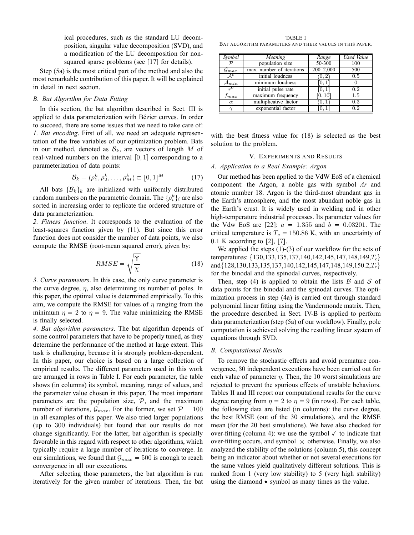ical procedures, such as the standard LU decomposition, singular value decomposition (SVD), and a modification of the LU decomposition for nonsquared sparse problems (see [17] for details).

Step (5a) is the most critical part of the method and also the most remarkable contribution of this paper. It will be explained in detail in next section.

## *B. Bat Algorithm for Data Fitting*

In this section, the bat algorithm described in Sect. III is applied to data parameterization with Bézier curves. In order to succeed, there are some issues that we need to take care of: *1. Bat encoding*. First of all, we need an adequate representation of the free variables of our optimization problem. Bats in our method, denoted as  $\mathcal{B}_k$ , are vectors of length M of real-valued numbers on the interval  $[0, 1]$  corresponding to a parameterization of data points:

$$
\mathcal{B}_k = (\rho_1^k, \rho_2^k, \dots, \rho_M^k) \subset [0, 1]^M
$$
 (17)

All bats  $\{\mathcal{B}_k\}_k$  are initialized with uniformly distributed random numbers on the parametric domain. The  $\{\rho_i^k\}_i$  are also sorted in increasing order to replicate the ordered structure of data parameterization.

*2. Fitness function*. It corresponds to the evaluation of the least-squares function given by (11). But since this error function does not consider the number of data points, we also compute the RMSE (root-mean squared error), given by:

$$
RMSE = \sqrt{\frac{\Upsilon}{\chi}} \tag{18}
$$

*3. Curve parameters*. In this case, the only curve parameter is the curve degree,  $\eta$ , also determining its number of poles. In this paper, the optimal value is determined empirically. To this aim, we compute the RMSE for values of  $\eta$  ranging from the minimum  $\eta = 2$  to  $\eta = 9$ . The value minimizing the RMSE is finally selected.

*4. Bat algorithm parameters*. The bat algorithm depends of some control parameters that have to be properly tuned, as they determine the performance of the method at large extent. This task is challenging, because it is strongly problem-dependent. In this paper, our choice is based on a large collection of empirical results. The different parameters used in this work are arranged in rows in Table I. For each parameter, the table shows (in columns) its symbol, meaning, range of values, and the parameter value chosen in this paper. The most important parameters are the population size,  $P$ , and the maximum number of iterations,  $\mathcal{G}_{max}$ . For the former, we set  $\mathcal{P} = 100$ in all examples of this paper. We also tried larger populations (up to 300 individuals) but found that our results do not change significantly. For the latter, bat algorithm is specially favorable in this regard with respect to other algorithms, which typically require a large number of iterations to converge. In our simulations, we found that  $\mathcal{G}_{max} = 500$  is enough to reach convergence in all our executions.

After selecting those parameters, the bat algorithm is run iteratively for the given number of iterations. Then, the bat

TABLE I BAT ALGORITHM PARAMETERS AND THEIR VALUES IN THIS PAPER.

| Symbol              | Meaning                   | Range         | Used Value |
|---------------------|---------------------------|---------------|------------|
| ${\cal D}$          | population size           | 50-300        | 100        |
| $\mathcal{G}_{max}$ | max. number of iterations | $200 - 2,000$ | 500        |
| A <sup>0</sup>      | initial loudness          | (0, 2)        | 0.5        |
| $\mathcal{A}_{min}$ | minimum loudness          | 0,1           |            |
| $r^{0}$             | initial pulse rate        | 0,1           | 0.2        |
| $_{fmax}$           | maximum frequency         | [0, 10]       | $1.5\,$    |
| $\alpha$            | multiplicative factor     | (0, 1)        | 0.3        |
| $\sim$              | exponential factor        |               | 0.2        |

with the best fitness value for (18) is selected as the best solution to the problem.

## V. EXPERIMENTS AND RESULTS

# *A. Application to a Real Example: Argon*

Our method has been applied to the VdW EoS of a chemical component: the Argon, a noble gas with symbol *Ar* and atomic number 18. Argon is the third-most abundant gas in the Earth's atmosphere, and the most abundant noble gas in the Earth's crust. It is widely used in welding and in other high-temperature industrial processes. Its parameter values for the Vdw EoS are [22]:  $a = 1.355$  and  $b = 0.03201$ . The critical temperature is  $T_c = 150.86$  K, with an uncertainty of 0.1 K according to [2], [7].

We applied the steps (1)-(3) of our workflow for the sets of temperatures:  $\{130, 133, 135, 137, 140, 142, 145, 147, 148, 149, T_c\}$ and $\{128,130,133,135,137,140,142,145,147,148,149,150.2,T_c\}$ for the binodal and the spinodal curves, respectively.

Then, step (4) is applied to obtain the lists  $\beta$  and  $\delta$  of data points for the binodal and the spinodal curves. The optimization process in step (4a) is carried out through standard polynomial linear fitting using the Vandermonde matrix. Then, the procedure described in Sect. IV-B is applied to perform data parameterization (step (5a) of our workflow). Finally, pole computation is achieved solving the resulting linear system of equations through SVD.

#### *B. Computational Results*

To remove the stochastic effects and avoid premature convergence, 30 independent executions have been carried out for each value of parameter  $\eta$ . Then, the 10 worst simulations are rejected to prevent the spurious effects of unstable behaviors. Tables II and III report our computational results for the curve degree ranging from  $\eta = 2$  to  $\eta = 9$  (in rows). For each table, the following data are listed (in columns): the curve degree, the best RMSE (out of the 30 simulations), and the RMSE mean (for the 20 best simulations). We have also checked for over-fitting (column 4): we use the symbol  $\checkmark$  to indicate that over-fitting occurs, and symbol  $\times$  otherwise. Finally, we also analyzed the stability of the solutions (column 5), this concept being an indicator about whether or not several executions for the same values yield qualitatively different solutions. This is ranked from 1 (very low stability) to 5 (very high stability) using the diamond  $\bullet$  symbol as many times as the value.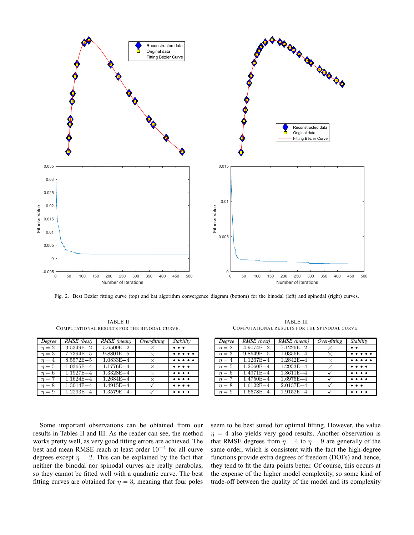

Fig. 2. Best Bézier fitting curve (top) and bat algorithm convergence diagram (bottom) for the binodal (left) and spinodal (right) curves.

TABLE II COMPUTATIONAL RESULTS FOR THE BINODAL CURVE.

| Degree     | RMSE (best)   | RMSE (mean)   | Over-fitting | Stability                             |
|------------|---------------|---------------|--------------|---------------------------------------|
| $\eta = 2$ | $3.5349E - 2$ | $5.6509E - 2$ |              | $\bullet\ \bullet\ \bullet$           |
| $\eta=3$   | $7.7394E - 5$ | $9.8801E - 5$ | $\times$     | $\cdots$                              |
| $n=4$      | $8.5572E - 5$ | $1.0833E - 4$ | X.           | $\bullet\bullet\bullet\bullet\bullet$ |
| $n=5$      | $1.0365E - 4$ | $1.1776E - 4$ | $\times$     | $\bullet\ \bullet\ \bullet\ \bullet$  |
| $\eta=6$   | $1.1927E - 4$ | $1.3328E - 4$ | ×            | $\bullet\ \bullet\ \bullet\ \bullet$  |
| $n = 7$    | $1.1624E - 4$ | $1.2684E - 4$ | $\times$     | $\bullet\bullet\bullet\bullet$        |
| $\eta = 8$ | $1.3014E - 4$ | $1.4915E - 4$ |              | $\bullet\ \bullet\ \bullet\ \bullet$  |
| $\eta = 9$ | $1.2293E - 4$ | $1.3579E - 4$ |              |                                       |

TABLE III COMPUTATIONAL RESULTS FOR THE SPINODAL CURVE.

| Degree     | RMSE (best)   | RMSE (mean)   | Over-fitting | Stability                                                                                                          |
|------------|---------------|---------------|--------------|--------------------------------------------------------------------------------------------------------------------|
| $n=2$      | $4.9074E - 2$ | $7.1226E - 2$ | X            | $\bullet\bullet$                                                                                                   |
| $n=3$      | $9.8649E - 5$ | $1.0356E - 4$ | $\times$     | $\begin{array}{ccccccccccccccccc} \bullet & \bullet & \bullet & \bullet & \bullet & \bullet & \bullet \end{array}$ |
| $\eta = 4$ | $1.1267E - 4$ | $1.2842E - 4$ | $\times$     | $\bullet\ \bullet\ \bullet\ \bullet\ \bullet$                                                                      |
| $\eta=5$   | $1.2060E - 4$ | $1.2953E - 4$ | $\times$     | $\bullet\ \bullet\ \bullet\ \bullet$                                                                               |
| $\eta=6$   | $1.4971E - 4$ | $1.8611E - 4$ |              | $\bullet\bullet\bullet\bullet$                                                                                     |
| $n=7$      | $1.4750E - 4$ | $1.6975E - 4$ |              | $\bullet\ \bullet\ \bullet\ \bullet$                                                                               |
| $n = 8$    | $1.6122E - 4$ | $2.0137E - 4$ |              | $\bullet$ $\bullet$ $\bullet$                                                                                      |
| $\eta = 9$ | $1.6678E - 4$ | $1.9152E - 4$ |              | $\bullet\ \bullet\ \bullet\ \bullet$                                                                               |

Some important observations can be obtained from our results in Tables II and III. As the reader can see, the method works pretty well, as very good fitting errors are achieved. The best and mean RMSE reach at least order  $10^{-4}$  for all curve degrees except  $\eta = 2$ . This can be explained by the fact that neither the binodal nor spinodal curves are really parabolas, so they cannot be fitted well with a quadratic curve. The best fitting curves are obtained for  $\eta = 3$ , meaning that four poles

seem to be best suited for optimal fitting. However, the value  $\eta = 4$  also yields very good results. Another observation is that RMSE degrees from  $\eta = 4$  to  $\eta = 9$  are generally of the same order, which is consistent with the fact the high-degree functions provide extra degrees of freedom (DOFs) and hence, they tend to fit the data points better. Of course, this occurs at the expense of the higher model complexity, so some kind of trade-off between the quality of the model and its complexity